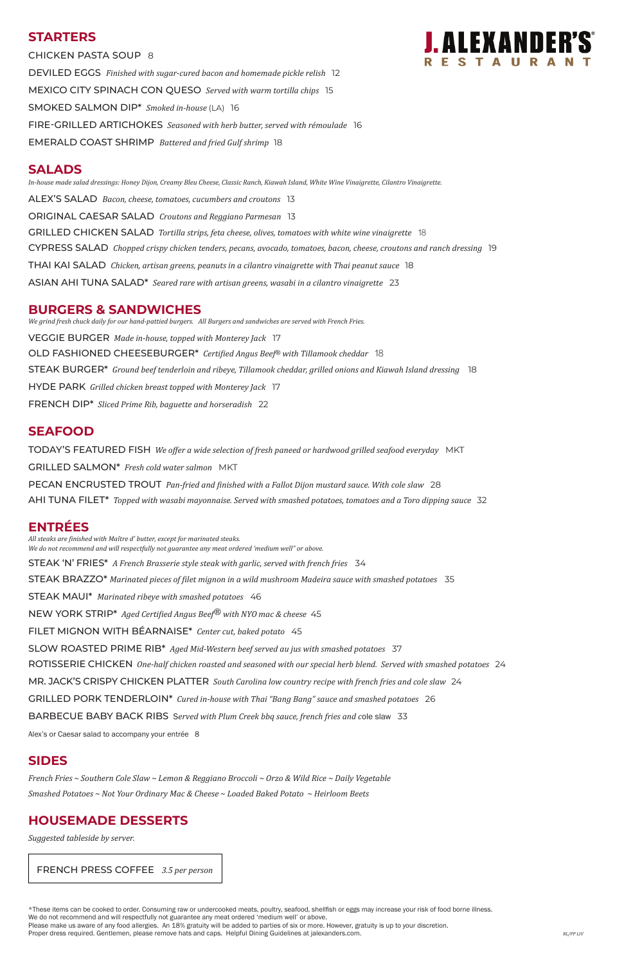# **STARTERS**

CHICKEN PASTA SOUP 8 DEVILED EGGS *Finished with sugar-cured bacon and homemade pickle relish* 12 MEXICO CITY SPINACH CON QUESO *Served with warm tortilla chips* 15 SMOKED SALMON DIP\* *Smoked in-house* (LA) 16 FIRE-GRILLED ARTICHOKES *Seasoned with herb butter, served with rémoulade* 16 EMERALD COAST SHRIMP *Battered and fried Gulf shrimp* 18

### **SALADS**

*In-house made salad dressings: Honey Dijon, Creamy Bleu Cheese, Classic Ranch, Kiawah Island, White Wine Vinaigrette, Cilantro Vinaigrette.* ALEX'S SALAD *Bacon, cheese, tomatoes, cucumbers and croutons* 13 ORIGINAL CAESAR SALAD *Croutons and Reggiano Parmesan* 13 GRILLED CHICKEN SALAD *Tortilla strips, feta cheese, olives, tomatoes with white wine vinaigrette* 18 CYPRESS SALAD *Chopped crispy chicken tenders, pecans, avocado, tomatoes, bacon, cheese, croutons and ranch dressing* 19 THAI KAI SALAD *Chicken, artisan greens, peanuts in a cilantro vinaigrette with Thai peanut sauce* 18 ASIAN AHI TUNA SALAD\* *Seared rare with artisan greens, wasabi in a cilantro vinaigrette* 23

### **BURGERS & SANDWICHES**

*We grind fresh chuck daily for our hand-pattied burgers. All Burgers and sandwiches are served with French Fries.* VEGGIE BURGER *Made in-house, topped with Monterey Jack* 17 OLD FASHIONED CHEESEBURGER\* *Certified Angus Beef*® *with Tillamook cheddar* 18 STEAK BURGER\* *Ground beef tenderloin and ribeye, Tillamook cheddar, grilled onions and Kiawah Island dressing* 18 HYDE PARK *Grilled chicken breast topped with Monterey Jack* 17 FRENCH DIP\* *Sliced Prime Rib, baguette and horseradish* 22

# **SEAFOOD**

TODAY'S FEATURED FISH *We offer a wide selection of fresh paneed or hardwood grilled seafood everyday* MKT GRILLED SALMON\* *Fresh cold water salmon* MKT PECAN ENCRUSTED TROUT *Pan-fried and finished with a Fallot Dijon mustard sauce. With cole slaw* 28 AHI TUNA FILET\* *Topped with wasabi mayonnaise. Served with smashed potatoes, tomatoes and a Toro dipping sauce* 32

# **ENTRÉES**

*All steaks are finished with Maître d' butter, except for marinated steaks. We do not recommend and will respectfully not guarantee any meat ordered 'medium well" or above.* STEAK 'N' FRIES\* *A French Brasserie style steak with garlic, served with french fries* 34 STEAK BRAZZO\* *Marinated pieces of filet mignon in a wild mushroom Madeira sauce with smashed potatoes* 35 STEAK MAUI\* *Marinated ribeye with smashed potatoes* 46 NEW YORK STRIP\* *Aged Certified Angus Beef® with NYO mac & cheese* 45 FILET MIGNON WITH BÉARNAISE\* *Center cut, baked potato* 45 SLOW ROASTED PRIME RIB\* *Aged Mid-Western beef served au jus with smashed potatoes* 37 ROTISSERIE CHICKEN One-half chicken roasted and seasoned with our special herb blend. Served with smashed potatoes 24 MR. JACK'S CRISPY CHICKEN PLATTER *South Carolina low country recipe with french fries and cole slaw* 24 GRILLED PORK TENDERLOIN\* *Cured in-house with Thai "Bang Bang" sauce and smashed potatoes* 26



#### BARBECUE BABY BACK RIBS S*erved with Plum Creek bbq sauce, french fries and c*ole slaw 33

Alex's or Caesar salad to accompany your entrée 8

# **SIDES**

*French Fries ~ Southern Cole Slaw ~ Lemon & Reggiano Broccoli ~ Orzo & Wild Rice ~ Daily Vegetable*

*Smashed Potatoes ~ Not Your Ordinary Mac & Cheese ~ Loaded Baked Potato ~ Heirloom Beets*

# **HOUSEMADE DESSERTS**

*Suggested tableside by server.*

\*These items can be cooked to order. Consuming raw or undercooked meats, poultry, seafood, shellfish or eggs may increase your risk of food borne illness.

We do not recommend and will respectfully not guarantee any meat ordered 'medium well' or above.

Please make us aware of any food allergies. An 18% gratuity will be added to parties of six or more. However, gratuity is up to your discretion.

Proper dress required. Gentlemen, please remove hats and caps. Helpful Dining Guidelines at jalexanders.com. *RL/PP LIV RL/PP LIV* 

FRENCH PRESS COFFEE *3.5 per person*